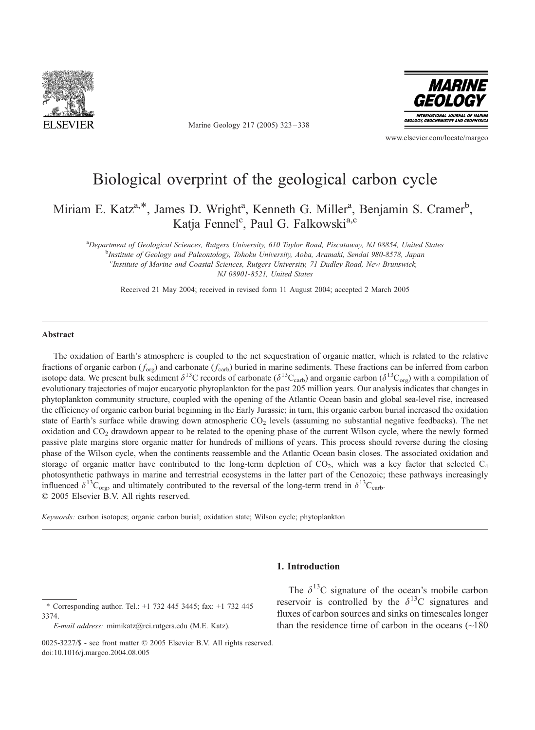

Marine Geology 217 (2005) 323 – 338



www.elsevier.com/locate/margeo

# Biological overprint of the geological carbon cycle

Miriam E. Katz<sup>a,\*</sup>, James D. Wright<sup>a</sup>, Kenneth G. Miller<sup>a</sup>, Benjamin S. Cramer<sup>b</sup>, Katja Fennel<sup>c</sup>, Paul G. Falkowski<sup>a,c</sup>

<sup>a</sup> Department of Geological Sciences, Rutgers University, 610 Taylor Road, Piscataway, NJ 08854, United States <sup>b</sup>Institute of Geology and Paleontology, Tohoku University, Aoba, Aramaki, Sendai 980-8578, Japan <sup>c</sup>Institute of Marine and Coastal Sciences, Rutgers University, 71 Dudley Road, New Brunswick, NJ 08901-8521, United States

Received 21 May 2004; received in revised form 11 August 2004; accepted 2 March 2005

### Abstract

The oxidation of Earth's atmosphere is coupled to the net sequestration of organic matter, which is related to the relative fractions of organic carbon  $(f_{\text{ore}})$  and carbonate  $(f_{\text{carb}})$  buried in marine sediments. These fractions can be inferred from carbon isotope data. We present bulk sediment  $\delta^{13}C$  records of carbonate ( $\delta^{13}C_{\text{carb}}$ ) and organic carbon ( $\delta^{13}C_{\text{ore}}$ ) with a compilation of evolutionary trajectories of major eucaryotic phytoplankton for the past 205 million years. Our analysis indicates that changes in phytoplankton community structure, coupled with the opening of the Atlantic Ocean basin and global sea-level rise, increased the efficiency of organic carbon burial beginning in the Early Jurassic; in turn, this organic carbon burial increased the oxidation state of Earth's surface while drawing down atmospheric CO<sub>2</sub> levels (assuming no substantial negative feedbacks). The net oxidation and  $CO<sub>2</sub>$  drawdown appear to be related to the opening phase of the current Wilson cycle, where the newly formed passive plate margins store organic matter for hundreds of millions of years. This process should reverse during the closing phase of the Wilson cycle, when the continents reassemble and the Atlantic Ocean basin closes. The associated oxidation and storage of organic matter have contributed to the long-term depletion of  $CO<sub>2</sub>$ , which was a key factor that selected  $C<sub>4</sub>$ photosynthetic pathways in marine and terrestrial ecosystems in the latter part of the Cenozoic; these pathways increasingly influenced  $\delta^{13}C_{\text{orp}}$ , and ultimately contributed to the reversal of the long-term trend in  $\delta^{13}C_{\text{carb}}$ .  $© 2005 Elsevier B.V. All rights reserved.$ 

Keywords: carbon isotopes; organic carbon burial; oxidation state; Wilson cycle; phytoplankton

### 1. Introduction

<sup>\*</sup> Corresponding author. Tel.:  $+1$  732 445 3445; fax:  $+1$  732 445 3374.

E-mail address: mimikatz@rci.rutgers.edu (M.E. Katz).

The  $\delta^{13}$ C signature of the ocean's mobile carbon reservoir is controlled by the  $\delta^{13}$ C signatures and fluxes of carbon sources and sinks on timescales longer than the residence time of carbon in the oceans  $($   $\sim$  180

<sup>0025-3227/\$ -</sup> see front matter  $\odot$  2005 Elsevier B.V. All rights reserved. doi:10.1016/j.margeo.2004.08.005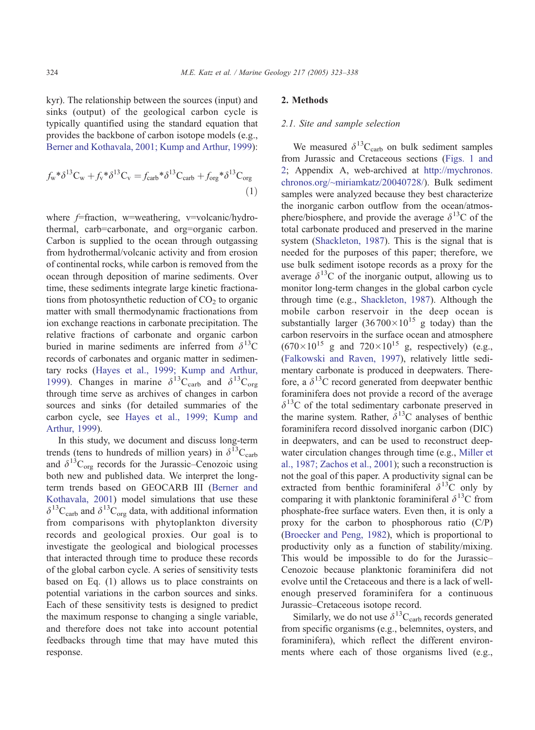kyr). The relationship between the sources (input) and sinks (output) of the geological carbon cycle is typically quantified using the standard equation that provides the backbone of carbon isotope models (e.g., [Berner and Kothavala, 2001; Kump and Arthur, 1999\)](#page-12-0):

$$
f_{\rm w} * \delta^{13} \text{C}_{\rm w} + f_{\rm v} * \delta^{13} \text{C}_{\rm v} = f_{\rm carb} * \delta^{13} \text{C}_{\rm carb} + f_{\rm org} * \delta^{13} \text{C}_{\rm org} \tag{1}
$$

where  $f=$  fraction, w=weathering, v=volcanic/hydrothermal, carb=carbonate, and org=organic carbon. Carbon is supplied to the ocean through outgassing from hydrothermal/volcanic activity and from erosion of continental rocks, while carbon is removed from the ocean through deposition of marine sediments. Over time, these sediments integrate large kinetic fractionations from photosynthetic reduction of  $CO<sub>2</sub>$  to organic matter with small thermodynamic fractionations from ion exchange reactions in carbonate precipitation. The relative fractions of carbonate and organic carbon buried in marine sediments are inferred from  $\delta^{13}$ C records of carbonates and organic matter in sedimentary rocks ([Hayes et al., 1999; Kump and Arthur,](#page-13-0) 1999). Changes in marine  $\delta^{13}C_{\text{carb}}$  and  $\delta^{13}C_{\text{org}}$ through time serve as archives of changes in carbon sources and sinks (for detailed summaries of the carbon cycle, see [Hayes et al., 1999; Kump and](#page-13-0) Arthur, 1999).

In this study, we document and discuss long-term trends (tens to hundreds of million years) in  $\delta^{13}C_{\text{carb}}$ and  $\delta^{13}C_{org}$  records for the Jurassic–Cenozoic using both new and published data. We interpret the longterm trends based on GEOCARB III ([Berner and](#page-12-0) Kothavala, 2001) model simulations that use these  $\delta^{13}C_{\text{carb}}$  and  $\delta^{13}C_{\text{org}}$  data, with additional information from comparisons with phytoplankton diversity records and geological proxies. Our goal is to investigate the geological and biological processes that interacted through time to produce these records of the global carbon cycle. A series of sensitivity tests based on Eq. (1) allows us to place constraints on potential variations in the carbon sources and sinks. Each of these sensitivity tests is designed to predict the maximum response to changing a single variable, and therefore does not take into account potential feedbacks through time that may have muted this response.

# 2. Methods

## 2.1. Site and sample selection

We measured  $\delta^{13}C_{\rm carb}$  on bulk sediment samples from Jurassic and Cretaceous sections ([Figs. 1 and](#page-2-0) 2; Appendix A, web-archived at [http://mychronos.](http://mychronos.chronos.org/~miriamkatz/20040728/) chronos.org/~miriamkatz/20040728/). Bulk sediment samples were analyzed because they best characterize the inorganic carbon outflow from the ocean/atmosphere/biosphere, and provide the average  $\delta^{13}$ C of the total carbonate produced and preserved in the marine system ([Shackleton, 1987\)](#page-14-0). This is the signal that is needed for the purposes of this paper; therefore, we use bulk sediment isotope records as a proxy for the average  $\delta^{13}$ C of the inorganic output, allowing us to monitor long-term changes in the global carbon cycle through time (e.g., [Shackleton, 1987\)](#page-14-0). Although the mobile carbon reservoir in the deep ocean is substantially larger  $(36700\times10^{15} \text{ g today})$  than the carbon reservoirs in the surface ocean and atmosphere  $(670\times10^{15} \text{ g}$  and  $720\times10^{15} \text{ g}$ , respectively) (e.g., ([Falkowski and Raven, 1997\)](#page-13-0), relatively little sedimentary carbonate is produced in deepwaters. Therefore, a  $\delta^{13}$ C record generated from deepwater benthic foraminifera does not provide a record of the average  $\delta^{13}$ C of the total sedimentary carbonate preserved in the marine system. Rather,  $\delta^{13}$ C analyses of benthic foraminifera record dissolved inorganic carbon (DIC) in deepwaters, and can be used to reconstruct deepwater circulation changes through time (e.g., [Miller et](#page-14-0) al., 1987; Zachos et al., 2001); such a reconstruction is not the goal of this paper. A productivity signal can be extracted from benthic foraminiferal  $\delta^{13}$ C only by comparing it with planktonic foraminiferal  $\delta^{13}$ C from phosphate-free surface waters. Even then, it is only a proxy for the carbon to phosphorous ratio (C/P) ([Broecker and Peng, 1982\)](#page-12-0), which is proportional to productivity only as a function of stability/mixing. This would be impossible to do for the Jurassic– Cenozoic because planktonic foraminifera did not evolve until the Cretaceous and there is a lack of wellenough preserved foraminifera for a continuous Jurassic–Cretaceous isotope record.

Similarly, we do not use  $\delta^{13}C_{\rm carb}$  records generated from specific organisms (e.g., belemnites, oysters, and foraminifera), which reflect the different environments where each of those organisms lived (e.g.,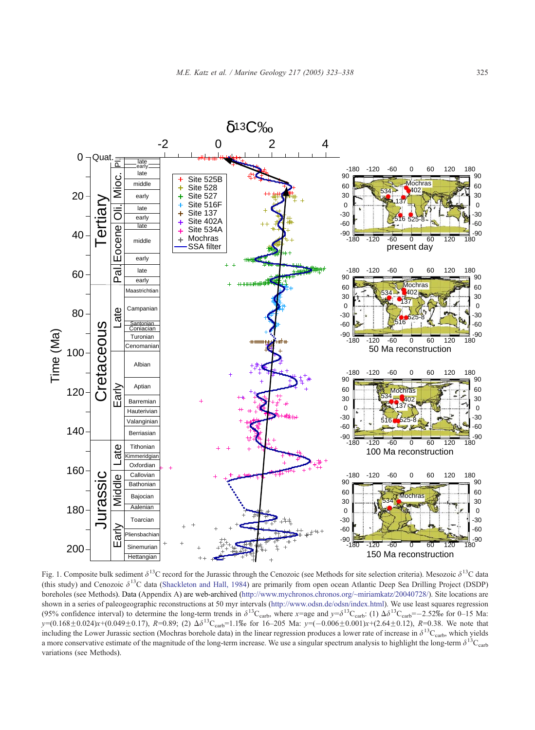<span id="page-2-0"></span>

Fig. 1. Composite bulk sediment  $\delta^{13}C$  record for the Jurassic through the Cenozoic (see Methods for site selection criteria). Mesozoic  $\delta^{13}C$  data (this study) and Cenozoic  $\delta^{13}C$  data ([Shackleton and Hall, 1984\)](#page-14-0) are primarily from open ocean Atlantic Deep Sea Drilling Project (DSDP) boreholes (see Methods). Data (Appendix A) are web-archived ([http://www.mychronos.chronos.org/~miriamkatz/20040728/\)](http://www.mychronos.chronos.org/~miriamkatz/20040728/). Site locations are shown in a series of paleogeographic reconstructions at 50 myr intervals ([http://www.odsn.de/odsn/index.html\)](http://www.odsn.de/odsn/index.html). We use least squares regression (95% confidence interval) to determine the long-term trends in  $\delta^{13}C_{\rm carb}$ , where x=age and  $y=\delta^{13}C_{\rm carb}$ : (1)  $\Delta\delta^{13}C_{\rm carb}$  for 0–15 Ma:  $y=(0.168\pm0.024)x+(0.049\pm0.17)$ ,  $R=0.89$ ; (2)  $\Delta\delta^{13}$ Ccarb=1.1% for 16–205 Ma:  $y=(-0.006\pm0.001)x+(2.64\pm0.12)$ ,  $R=0.38$ . We note that including the Lower Jurassic section (Mochras borehole data) in the linear regression produces a lower rate of increase in  $\delta^{13}C_{\rm carb}$ , which yields a more conservative estimate of the magnitude of the long-term increase. We use a singular spectrum analysis to highlight the long-term  $\delta^{13}C_{\rm carb}$ variations (see Methods).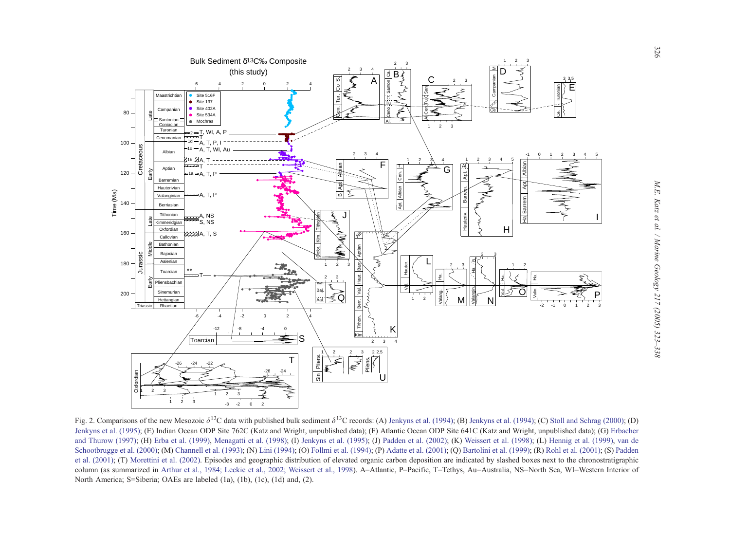<span id="page-3-0"></span>

Fig. 2. Comparisons of the new Mesozoic  $\delta^{13}C$  data with published bulk sediment  $\delta^{13}C$  records: (A) [Jenkyns](#page-13-0) et al. (1994); (B) Jenkyns et al. (1994); (C) Stoll and [Schrag](#page-14-0) (2000); (D) [Jenkyns](#page-13-0) et al. (1995); (E) Indian Ocean ODP Site 762C (Katz and Wright, unpublished data); (F) Atlantic Ocean ODP Site 641C (Katz and Wright, unpublished data); (G) [Erbacher](#page-13-0) and Thurow (1997); (H) Erba et al. [\(1999\)](#page-12-0), [Menagatti](#page-14-0) et al. (1998); (I) [Jenkyns](#page-13-0) et al. (1995); (J) Padden et al. [\(2002\)](#page-14-0); (K) [Weissert](#page-15-0) et al. (1998); (L) [Hennig](#page-13-0) et al. (1999), [van](#page-15-0) de Schootbrugge et al. (2000); (M) [Channell](#page-12-0) et al. (1993); (N) Lini [\(1994\)](#page-13-0); (O) Follmi et al. (1994); (P) Adatte et al. [\(2001\)](#page-14-0); (Q) [Bartolini](#page-12-0) et al. (1999); (R) Rohl et al. (2001); (S) [Padden](#page-14-0) et al. (2001); (T) [Morettini](#page-14-0) et al. (2002). Episodes and geographic distribution of elevated organic carbon deposition are indicated by slashed boxes next to the chronostratigraphic column (as summarized in Arthur et al., 1984; Leckie et al., 2002; [Weissert](#page-12-0) et al., 1998). A=Atlantic, P=Pacific, T=Tethys, Au=Australia, NS=North Sea, WI=Western Interior of North America; S=Siberia; OAEs are labeled (1a), (1b), (1c), (1d) and, (2).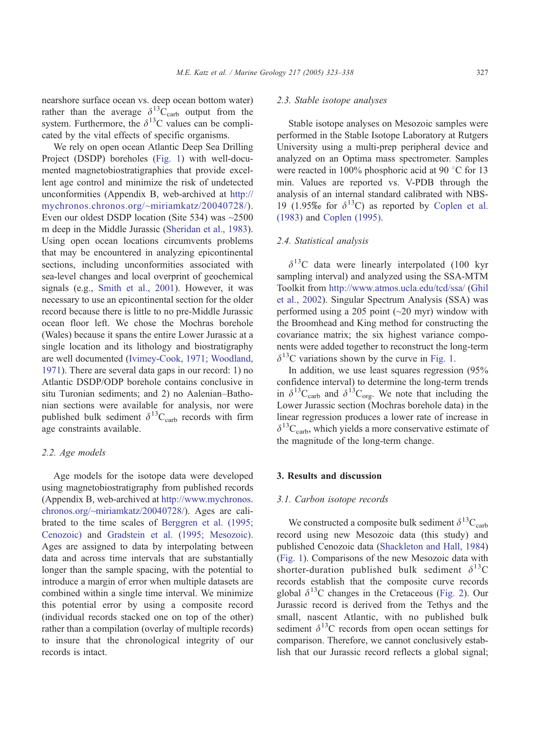nearshore surface ocean vs. deep ocean bottom water) rather than the average  $\delta^{13}C_{\text{carb}}$  output from the system. Furthermore, the  $\delta^{13}$ C values can be complicated by the vital effects of specific organisms.

We rely on open ocean Atlantic Deep Sea Drilling Project (DSDP) boreholes ([Fig. 1\)](#page-2-0) with well-documented magnetobiostratigraphies that provide excellent age control and minimize the risk of undetected unconformities (Appendix B, web-archived at [http://](http://mychronos.chronos.org/miriamkatz/20040728/) mychronos.chronos.org/~miriamkatz/20040728/). Even our oldest DSDP location (Site 534) was  $\sim$ 2500 m deep in the Middle Jurassic ([Sheridan et al., 1983\)](#page-14-0). Using open ocean locations circumvents problems that may be encountered in analyzing epicontinental sections, including unconformities associated with sea-level changes and local overprint of geochemical signals (e.g., [Smith et al., 2001\)](#page-14-0). However, it was necessary to use an epicontinental section for the older record because there is little to no pre-Middle Jurassic ocean floor left. We chose the Mochras borehole (Wales) because it spans the entire Lower Jurassic at a single location and its lithology and biostratigraphy are well documented ([Ivimey-Cook, 1971; Woodland,](#page-13-0) 1971). There are several data gaps in our record: 1) no Atlantic DSDP/ODP borehole contains conclusive in situ Turonian sediments; and 2) no Aalenian–Bathonian sections were available for analysis, nor were published bulk sediment  $\delta^{13}C_{\text{carb}}$  records with firm age constraints available.

# 2.2. Age models

Age models for the isotope data were developed using magnetobiostratigraphy from published records (Appendix B, web-archived at [http://www.mychronos.](http://www.mychronos.chronos.org/miriamkatz/20040728) chronos.org/~miriamkatz/20040728/). Ages are calibrated to the time scales of [Berggren et al. \(1995;](#page-12-0) Cenozoic) and [Gradstein et al. \(1995; Mesozoic\).](#page-13-0) Ages are assigned to data by interpolating between data and across time intervals that are substantially longer than the sample spacing, with the potential to introduce a margin of error when multiple datasets are combined within a single time interval. We minimize this potential error by using a composite record (individual records stacked one on top of the other) rather than a compilation (overlay of multiple records) to insure that the chronological integrity of our records is intact.

## 2.3. Stable isotope analyses

Stable isotope analyses on Mesozoic samples were performed in the Stable Isotope Laboratory at Rutgers University using a multi-prep peripheral device and analyzed on an Optima mass spectrometer. Samples were reacted in 100% phosphoric acid at 90 $\degree$ C for 13 min. Values are reported vs. V-PDB through the analysis of an internal standard calibrated with NBS-19 (1.95‰ for  $\delta^{13}$ C) as reported by [Coplen et al.](#page-12-0) (1983) and [Coplen \(1995\).](#page-12-0)

## 2.4. Statistical analysis

 $\delta^{13}$ C data were linearly interpolated (100 kyr) sampling interval) and analyzed using the SSA-MTM Toolkit from <http://www.atmos.ucla.edu/tcd/ssa/> ([Ghil](#page-13-0) et al., 2002). Singular Spectrum Analysis (SSA) was performed using a 205 point  $(\sim 20$  myr) window with the Broomhead and King method for constructing the covariance matrix; the six highest variance components were added together to reconstruct the long-term  $\delta^{13}$ C variations shown by the curve in [Fig. 1.](#page-2-0)

In addition, we use least squares regression (95% confidence interval) to determine the long-term trends in  $\delta^{13}C_{\text{carb}}$  and  $\delta^{13}C_{\text{ore}}$ . We note that including the Lower Jurassic section (Mochras borehole data) in the linear regression produces a lower rate of increase in  $\delta^{13}C_{\text{carb}}$ , which yields a more conservative estimate of the magnitude of the long-term change.

# 3. Results and discussion

#### 3.1. Carbon isotope records

We constructed a composite bulk sediment  $\delta^{13}C_{\text{corb}}$ record using new Mesozoic data (this study) and published Cenozoic data ([Shackleton and Hall, 1984\)](#page-14-0) ([Fig. 1\)](#page-2-0). Comparisons of the new Mesozoic data with shorter-duration published bulk sediment  $\delta^{13}$ C records establish that the composite curve records global  $\delta^{13}$ C changes in the Cretaceous ([Fig. 2\)](#page-3-0). Our Jurassic record is derived from the Tethys and the small, nascent Atlantic, with no published bulk sediment  $\delta^{13}$ C records from open ocean settings for comparison. Therefore, we cannot conclusively establish that our Jurassic record reflects a global signal;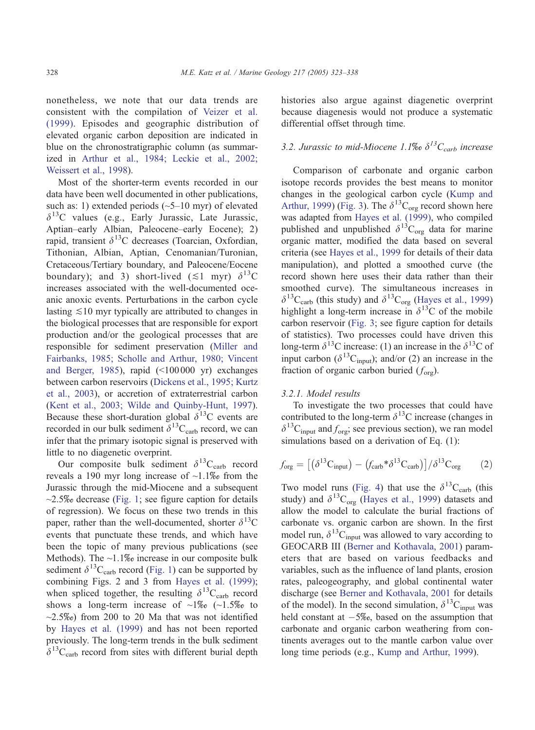nonetheless, we note that our data trends are consistent with the compilation of [Veizer et al.](#page-15-0) (1999). Episodes and geographic distribution of elevated organic carbon deposition are indicated in blue on the chronostratigraphic column (as summarized in [Arthur et al., 1984; Leckie et al., 2002;](#page-12-0) Weissert et al., 1998).

Most of the shorter-term events recorded in our data have been well documented in other publications, such as: 1) extended periods  $(-5-10$  myr) of elevated  $\delta^{13}$ C values (e.g., Early Jurassic, Late Jurassic, Aptian–early Albian, Paleocene–early Eocene); 2) rapid, transient  $\delta^{13}$ C decreases (Toarcian, Oxfordian, Tithonian, Albian, Aptian, Cenomanian/Turonian, Cretaceous/Tertiary boundary, and Paleocene/Eocene boundary); and 3) short-lived  $(\leq 1$  myr)  $\delta^{13}C$ increases associated with the well-documented oceanic anoxic events. Perturbations in the carbon cycle lasting  $\leq 10$  myr typically are attributed to changes in the biological processes that are responsible for export production and/or the geological processes that are responsible for sediment preservation ([Miller and](#page-14-0) Fairbanks, 1985; Scholle and Arthur, 1980; Vincent and Berger, 1985), rapid  $($ <100000 yr) exchanges between carbon reservoirs ([Dickens et al., 1995; Kurtz](#page-12-0) et al., 2003), or accretion of extraterrestrial carbon ([Kent et al., 2003; Wilde and Quinby-Hunt, 1997\)](#page-13-0). Because these short-duration global  $\delta^{13}$ C events are recorded in our bulk sediment  $\delta^{13}C_{\rm carb}$  record, we can infer that the primary isotopic signal is preserved with little to no diagenetic overprint.

Our composite bulk sediment  $\delta^{13}C_{\text{carb}}$  record reveals a 190 myr long increase of  $\sim$ 1.1% from the Jurassic through the mid-Miocene and a subsequent  $\sim$ 2.5% decrease ([Fig. 1;](#page-2-0) see figure caption for details of regression). We focus on these two trends in this paper, rather than the well-documented, shorter  $\delta^{13}C$ events that punctuate these trends, and which have been the topic of many previous publications (see Methods). The  $\sim$ 1.1% increase in our composite bulk sediment  $\delta^{13}C_{\text{carb}}$  record ([Fig. 1\)](#page-2-0) can be supported by combining Figs. 2 and 3 from [Hayes et al. \(1999\);](#page-13-0) when spliced together, the resulting  $\delta^{13}C_{\text{carb}}$  record shows a long-term increase of  $\sim 1\%$  ( $\sim 1.5\%$  to  $\sim$ 2.5% $o$ ) from 200 to 20 Ma that was not identified by [Hayes et al. \(1999\)](#page-13-0) and has not been reported previously. The long-term trends in the bulk sediment  $\delta^{13}C_{\text{earth}}$  record from sites with different burial depth histories also argue against diagenetic overprint because diagenesis would not produce a systematic differential offset through time.

# 3.2. Jurassic to mid-Miocene 1.1\%  $\delta^{13}C_{\text{curb}}$  increase

Comparison of carbonate and organic carbon isotope records provides the best means to monitor changes in the geological carbon cycle ([Kump and](#page-13-0) Arthur, 1999) ([Fig. 3\)](#page-6-0). The  $\delta^{13}C_{org}$  record shown here was adapted from [Hayes et al. \(1999\),](#page-13-0) who compiled published and unpublished  $\delta^{13}C_{org}$  data for marine organic matter, modified the data based on several criteria (see [Hayes et al., 1999](#page-13-0) for details of their data manipulation), and plotted a smoothed curve (the record shown here uses their data rather than their smoothed curve). The simultaneous increases in  $\delta^{13}C_{\rm carb}$  (this study) and  $\delta^{13}C_{\rm org}$  ([Hayes et al., 1999\)](#page-13-0) highlight a long-term increase in  $\delta^{13}$ C of the mobile carbon reservoir ([Fig. 3;](#page-6-0) see figure caption for details of statistics). Two processes could have driven this long-term  $\delta^{13}$ C increase: (1) an increase in the  $\delta^{13}$ C of input carbon ( $\delta^{13}$ C<sub>input</sub>); and/or (2) an increase in the fraction of organic carbon buried  $(f_{\text{org}})$ .

### 3.2.1. Model results

To investigate the two processes that could have contributed to the long-term  $\delta^{13}$ C increase (changes in  $\delta^{13}C_{input}$  and  $f_{org}$ ; see previous section), we ran model simulations based on a derivation of Eq. (1):

$$
f_{\text{org}} = \left[ \left( \delta^{13} \text{C}_{\text{input}} \right) - \left( f_{\text{carb}} * \delta^{13} \text{C}_{\text{carb}} \right) \right] / \delta^{13} \text{C}_{\text{org}} \tag{2}
$$

Two model runs ([Fig. 4\)](#page-7-0) that use the  $\delta^{13}C_{\text{carb}}$  (this study) and  $\delta^{13}C_{\text{org}}$  ([Hayes et al., 1999\)](#page-13-0) datasets and allow the model to calculate the burial fractions of carbonate vs. organic carbon are shown. In the first model run,  $\delta^{13}C_{input}$  was allowed to vary according to GEOCARB III ([Berner and Kothavala, 2001\)](#page-12-0) parameters that are based on various feedbacks and variables, such as the influence of land plants, erosion rates, paleogeography, and global continental water discharge (see [Berner and Kothavala, 2001](#page-12-0) for details of the model). In the second simulation,  $\delta^{13}C_{input}$  was held constant at  $-5\%$ , based on the assumption that carbonate and organic carbon weathering from continents averages out to the mantle carbon value over long time periods (e.g., [Kump and Arthur, 1999\)](#page-13-0).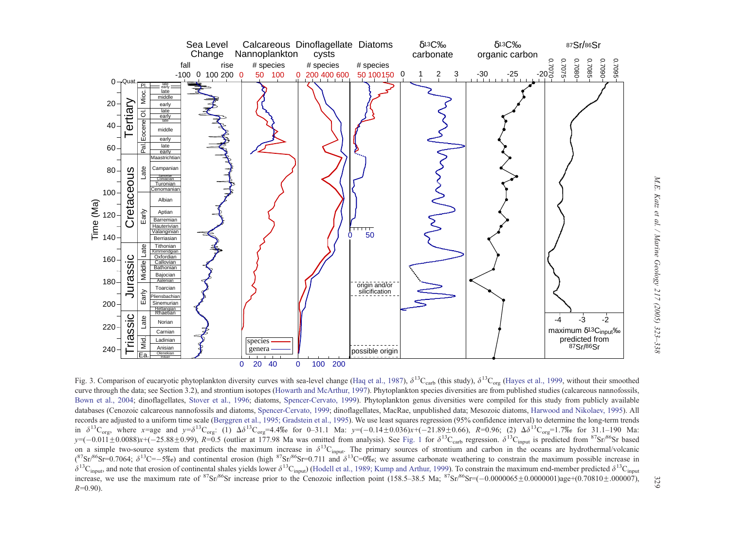<span id="page-6-0"></span>

Fig. 3. Comparison of eucaryotic phytoplankton diversity curves with sea-level change (Haq et al., [1987](#page-13-0)),  $\delta^{13}$ C<sub>carb</sub> (this study),  $\delta^{13}$ C<sub>org</sub> [\(Hayes](#page-13-0) et al., 1999, without their smoothed curve through the data; see Section 3.2), and strontium isotopes (Howarth and [McArthur,](#page-13-0) 1997). Phytoplankton species diversities are from published studies (calcareous nannofossils, [Bown](#page-12-0) et al., 2004; dinoflagellates, [Stover](#page-14-0) et al., 1996; diatoms, [Spencer-Cervato,](#page-14-0) 1999). Phytoplankton genus diversities were compiled for this study from publicly available databases (Cenozoic calcareous nannofossils and diatoms, [Spencer-Cervato,](#page-14-0) 1999; dinoflagellates, MacRae, unpublished data; Mesozoic diatoms, Harwood and [Nikolaev,](#page-13-0) 1995). All records are adjusted to <sup>a</sup> uniform time scale [\(Berggren](#page-12-0) et al., 1995; Gradstein et al., 1995). We use least squares regression (95% confidence interval) to determine the long-term trends in  $\delta^{13}$ C<sub>org</sub>, where x=age and  $y=\delta^{13}$ C<sub>org</sub>: (1)  $\Delta \delta^{13}$ C<sub>org</sub>=4.4% for 0–31.1 Ma:  $y=(-0.14\pm0.036)x+(-21.89\pm0.66)$ ,  $R=0.96$ ; (2)  $\Delta \delta^{13}$ C<sub>org</sub>=1.7% for 31.1–190 Ma:  $y = (-0.011 \pm 0.0088)x + (-25.88 \pm 0.99)$ , R=0.5 (outlier at 177.98 Ma was omitted from analysis). See [Fig.](#page-2-0) 1 for  $\delta^{13}C_{\text{capt}}$  regression.  $\delta^{13}C_{\text{input}}$  is predicted from  ${}^{87}Sr{}^{86}Sr$  based on a simple two-source system that predicts the maximum increase in  $\delta^{13}C_{input}$ . The primary sources of strontium and carbon in the oceans are hydrothermal/volcanic  $({}^{87}Sr{}^{86}Sr=0.7064; \delta^{13}C=-5\%$ ) and continental erosion (high  ${}^{87}Sr{}^{86}Sr=0.711$  and  $\delta^{13}C=0\%$ ; we assume carbonate weathering to constrain the maximum possible increase in  $\delta^{13}$ C<sub>input</sub>, and note that erosion of continental shales yields lower  $\delta^{13}$ C<sub>input</sub>) [\(Hodell](#page-13-0) et al., 1989; Kump and Arthur, 1999). To constrain the maximum end-member predicted  $\delta^{13}$ C<sub>input</sub> increase, we use the maximum rate of  ${}^{87}Sr/{}^{86}Sr$  increase prior to the Cenozoic inflection point (158.5–38.5 Ma;  ${}^{87}Sr/{}^{86}Sr=(-0.0000065\pm0.0000001)age+(0.70810\pm.000007)$  $R=0.90$ ).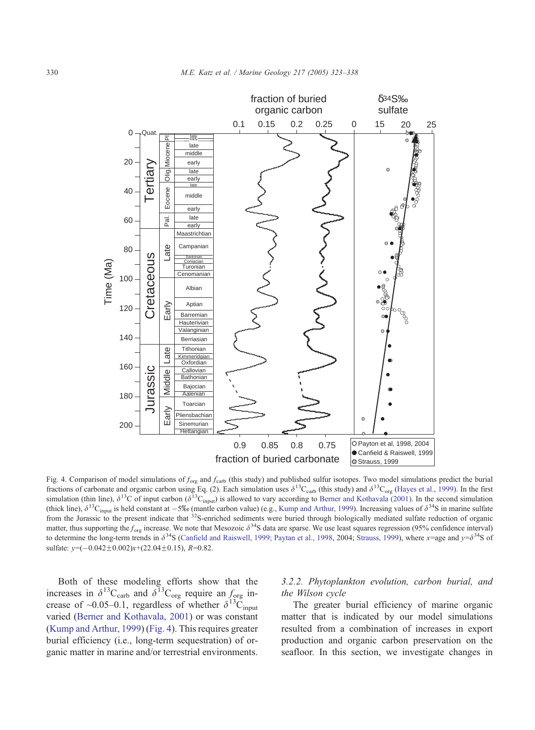<span id="page-7-0"></span>

Fig. 4. Comparison of model simulations of  $f_{\text{org}}$  and  $f_{\text{carb}}$  (this study) and published sulfur isotopes. Two model simulations predict the burial fractions of carbonate and organic carbon using Eq. (2). Each simulation uses  $\delta^{13}C_{\text{carb}}$  (this study) and  $\delta^{13}C_{\text{org}}$  ([Hayes et al., 1999\)](#page-13-0). In the first simulation (thin line),  $\delta^{13}C$  of input carbon ( $\delta^{13}C_{input}$ ) is allowed to vary according to [Berner and Kothavala \(2001\).](#page-12-0) In the second simulation (thick line),  $\delta^{13}C_{input}$  is held constant at  $-5\%$  (mantle carbon value) (e.g., [Kump and Arthur, 1999\)](#page-13-0). Increasing values of  $\delta^{34}S$  in marine sulfate from the Jurassic to the present indicate that <sup>32</sup>S-enriched sediments were buried through biologically mediated sulfate reduction of organic matter, thus supporting the  $f_{org}$  increase. We note that Mesozoic  $\delta^{34}S$  data are sparse. We use least squares regression (95% confidence interval) to determine the long-term trends in  $\delta^{34}S$  ([Canfield and Raiswell, 1999; Paytan et al., 1998,](#page-12-0) 2004; [Strauss, 1999\)](#page-14-0), where x=age and  $y=\delta^{34}S$  of sulfate:  $y=(-0.042\pm0.002)x+(22.04\pm0.15)$ ,  $R=0.82$ .

Both of these modeling efforts show that the increases in  $\delta^{13}C_{\text{carb}}$  and  $\delta^{13}C_{\text{org}}$  require an  $f_{\text{org}}$  increase of ~0.05–0.1, regardless of whether  $\delta^{13}$ C<sub>input</sub> varied ([Berner and Kothavala, 2001\)](#page-12-0) or was constant ([Kump and Arthur, 1999\)](#page-13-0) (Fig. 4). This requires greater burial efficiency (i.e., long-term sequestration) of organic matter in marine and/or terrestrial environments.

# 3.2.2. Phytoplankton evolution, carbon burial, and the Wilson cycle

The greater burial efficiency of marine organic matter that is indicated by our model simulations resulted from a combination of increases in export production and organic carbon preservation on the seafloor. In this section, we investigate changes in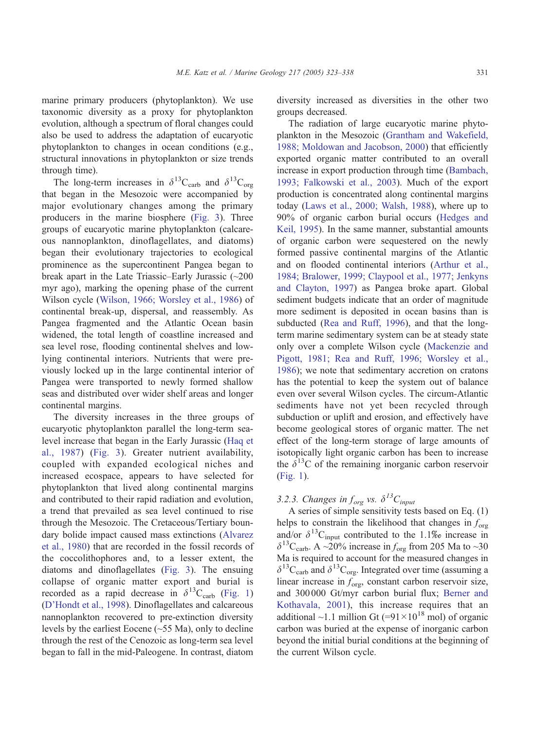marine primary producers (phytoplankton). We use taxonomic diversity as a proxy for phytoplankton evolution, although a spectrum of floral changes could also be used to address the adaptation of eucaryotic phytoplankton to changes in ocean conditions (e.g., structural innovations in phytoplankton or size trends through time).

The long-term increases in  $\delta^{13}C_{\text{carb}}$  and  $\delta^{13}C_{\text{org}}$ that began in the Mesozoic were accompanied by major evolutionary changes among the primary producers in the marine biosphere ([Fig. 3\)](#page-6-0). Three groups of eucaryotic marine phytoplankton (calcareous nannoplankton, dinoflagellates, and diatoms) began their evolutionary trajectories to ecological prominence as the supercontinent Pangea began to break apart in the Late Triassic–Early Jurassic (~200 myr ago), marking the opening phase of the current Wilson cycle ([Wilson, 1966; Worsley et al., 1986\)](#page-15-0) of continental break-up, dispersal, and reassembly. As Pangea fragmented and the Atlantic Ocean basin widened, the total length of coastline increased and sea level rose, flooding continental shelves and lowlying continental interiors. Nutrients that were previously locked up in the large continental interior of Pangea were transported to newly formed shallow seas and distributed over wider shelf areas and longer continental margins.

The diversity increases in the three groups of eucaryotic phytoplankton parallel the long-term sealevel increase that began in the Early Jurassic ([Haq et](#page-13-0) al., 1987) ([Fig. 3\)](#page-6-0). Greater nutrient availability, coupled with expanded ecological niches and increased ecospace, appears to have selected for phytoplankton that lived along continental margins and contributed to their rapid radiation and evolution, a trend that prevailed as sea level continued to rise through the Mesozoic. The Cretaceous/Tertiary boundary bolide impact caused mass extinctions ([Alvarez](#page-12-0) et al., 1980) that are recorded in the fossil records of the coccolithophores and, to a lesser extent, the diatoms and dinoflagellates ([Fig. 3\)](#page-6-0). The ensuing collapse of organic matter export and burial is recorded as a rapid decrease in  $\delta^{13}C_{\text{carb}}$  ([Fig. 1\)](#page-2-0) ([D'Hondt et al., 1998\)](#page-12-0). Dinoflagellates and calcareous nannoplankton recovered to pre-extinction diversity levels by the earliest Eocene  $(\sim 55$  Ma), only to decline through the rest of the Cenozoic as long-term sea level began to fall in the mid-Paleogene. In contrast, diatom

diversity increased as diversities in the other two groups decreased.

The radiation of large eucaryotic marine phytoplankton in the Mesozoic ([Grantham and Wakefield,](#page-13-0) 1988; Moldowan and Jacobson, 2000) that efficiently exported organic matter contributed to an overall increase in export production through time ([Bambach,](#page-12-0) 1993; Falkowski et al., 2003). Much of the export production is concentrated along continental margins today ([Laws et al., 2000; Walsh, 1988\)](#page-13-0), where up to 90% of organic carbon burial occurs ([Hedges and](#page-13-0) Keil, 1995). In the same manner, substantial amounts of organic carbon were sequestered on the newly formed passive continental margins of the Atlantic and on flooded continental interiors ([Arthur et al.,](#page-12-0) 1984; Bralower, 1999; Claypool et al., 1977; Jenkyns and Clayton, 1997) as Pangea broke apart. Global sediment budgets indicate that an order of magnitude more sediment is deposited in ocean basins than is subducted ([Rea and Ruff, 1996\)](#page-14-0), and that the longterm marine sedimentary system can be at steady state only over a complete Wilson cycle ([Mackenzie and](#page-14-0) Pigott, 1981; Rea and Ruff, 1996; Worsley et al., 1986); we note that sedimentary accretion on cratons has the potential to keep the system out of balance even over several Wilson cycles. The circum-Atlantic sediments have not yet been recycled through subduction or uplift and erosion, and effectively have become geological stores of organic matter. The net effect of the long-term storage of large amounts of isotopically light organic carbon has been to increase the  $\delta^{13}$ C of the remaining inorganic carbon reservoir ([Fig. 1\)](#page-2-0).

3.2.3. Changes in  $f_{org}$  vs.  $\delta^{13}C_{input}$ 

A series of simple sensitivity tests based on Eq. (1) helps to constrain the likelihood that changes in  $f_{org}$ and/or  $\delta^{13}$ C<sub>input</sub> contributed to the 1.1\% increase in  $\delta^{13}$ C<sub>carb</sub>. A ~20% increase in  $f_{org}$  from 205 Ma to ~30 Ma is required to account for the measured changes in  $\delta^{13}C_{\text{carb}}$  and  $\delta^{13}C_{\text{org}}$ . Integrated over time (assuming a linear increase in  $f_{\text{org}}$ , constant carbon reservoir size, and 300 000 Gt/myr carbon burial flux; [Berner and](#page-12-0) Kothavala, 2001), this increase requires that an additional ~1.1 million Gt (=91 $\times$ 10<sup>18</sup> mol) of organic carbon was buried at the expense of inorganic carbon beyond the initial burial conditions at the beginning of the current Wilson cycle.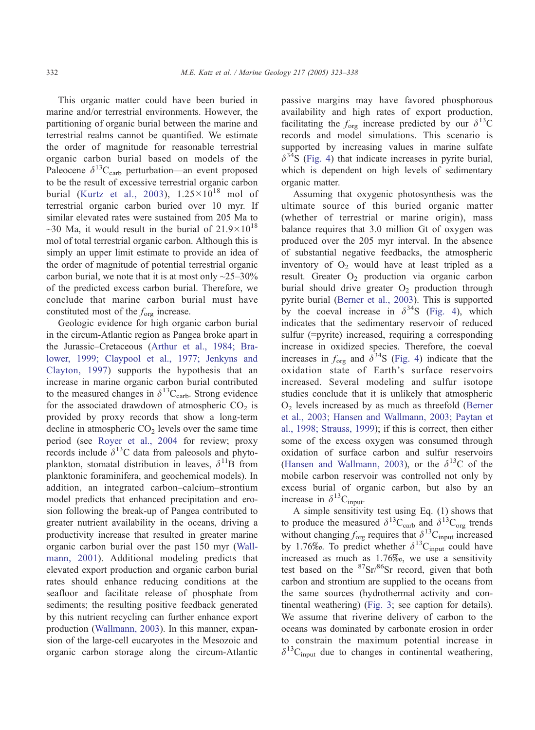This organic matter could have been buried in marine and/or terrestrial environments. However, the partitioning of organic burial between the marine and terrestrial realms cannot be quantified. We estimate the order of magnitude for reasonable terrestrial organic carbon burial based on models of the Paleocene  $\delta^{13}C_{\rm carb}$  perturbation—an event proposed to be the result of excessive terrestrial organic carbon burial ([Kurtz et al., 2003\)](#page-13-0),  $1.25 \times 10^{18}$  mol of terrestrial organic carbon buried over 10 myr. If similar elevated rates were sustained from 205 Ma to ~30 Ma, it would result in the burial of  $21.9\times10^{18}$ mol of total terrestrial organic carbon. Although this is simply an upper limit estimate to provide an idea of the order of magnitude of potential terrestrial organic carbon burial, we note that it is at most only  $\sim$ 25–30% of the predicted excess carbon burial. Therefore, we conclude that marine carbon burial must have constituted most of the  $f_{\text{org}}$  increase.

Geologic evidence for high organic carbon burial in the circum-Atlantic region as Pangea broke apart in the Jurassic–Cretaceous ([Arthur et al., 1984; Bra](#page-12-0)lower, 1999; Claypool et al., 1977; Jenkyns and Clayton, 1997) supports the hypothesis that an increase in marine organic carbon burial contributed to the measured changes in  $\delta^{13}C_{\rm carb}$ . Strong evidence for the associated drawdown of atmospheric  $CO<sub>2</sub>$  is provided by proxy records that show a long-term decline in atmospheric  $CO<sub>2</sub>$  levels over the same time period (see [Royer et al., 2004](#page-14-0) for review; proxy records include  $\delta^{13}$ C data from paleosols and phytoplankton, stomatal distribution in leaves,  $\delta^{11}B$  from planktonic foraminifera, and geochemical models). In addition, an integrated carbon–calcium–strontium model predicts that enhanced precipitation and erosion following the break-up of Pangea contributed to greater nutrient availability in the oceans, driving a productivity increase that resulted in greater marine organic carbon burial over the past 150 myr ([Wall](#page-15-0)mann, 2001). Additional modeling predicts that elevated export production and organic carbon burial rates should enhance reducing conditions at the seafloor and facilitate release of phosphate from sediments; the resulting positive feedback generated by this nutrient recycling can further enhance export production ([Wallmann, 2003\)](#page-15-0). In this manner, expansion of the large-cell eucaryotes in the Mesozoic and organic carbon storage along the circum-Atlantic passive margins may have favored phosphorous availability and high rates of export production, facilitating the  $f_{\text{org}}$  increase predicted by our  $\delta^{13}$ C records and model simulations. This scenario is supported by increasing values in marine sulfate  $\delta^{34}$ S ([Fig. 4\)](#page-7-0) that indicate increases in pyrite burial, which is dependent on high levels of sedimentary organic matter.

Assuming that oxygenic photosynthesis was the ultimate source of this buried organic matter (whether of terrestrial or marine origin), mass balance requires that 3.0 million Gt of oxygen was produced over the 205 myr interval. In the absence of substantial negative feedbacks, the atmospheric inventory of  $O_2$  would have at least tripled as a result. Greater  $O<sub>2</sub>$  production via organic carbon burial should drive greater  $O_2$  production through pyrite burial ([Berner et al., 2003\)](#page-12-0). This is supported by the coeval increase in  $\delta^{34}S$  ([Fig. 4\)](#page-7-0), which indicates that the sedimentary reservoir of reduced sulfur (=pyrite) increased, requiring a corresponding increase in oxidized species. Therefore, the coeval increases in  $f_{\text{org}}$  and  $\delta^{34}$ S ([Fig. 4\)](#page-7-0) indicate that the oxidation state of Earth's surface reservoirs increased. Several modeling and sulfur isotope studies conclude that it is unlikely that atmospheric  $O<sub>2</sub>$  levels increased by as much as threefold ([Berner](#page-12-0) et al., 2003; Hansen and Wallmann, 2003; Paytan et al., 1998; Strauss, 1999); if this is correct, then either some of the excess oxygen was consumed through oxidation of surface carbon and sulfur reservoirs ([Hansen and Wallmann, 2003\)](#page-13-0), or the  $\delta^{13}$ C of the mobile carbon reservoir was controlled not only by excess burial of organic carbon, but also by an increase in  $\delta^{13}C_{input}$ .

A simple sensitivity test using Eq. (1) shows that to produce the measured  $\delta^{13}C_{\text{carb}}$  and  $\delta^{13}C_{\text{org}}$  trends without changing  $f_{\text{org}}$  requires that  $\delta^{13}C_{\text{input}}$  increased by 1.76\%. To predict whether  $\delta^{13}C_{input}$  could have increased as much as  $1.76\%$ , we use a sensitivity test based on the  ${}^{87}Sr/{}^{86}Sr$  record, given that both carbon and strontium are supplied to the oceans from the same sources (hydrothermal activity and continental weathering) ([Fig. 3;](#page-6-0) see caption for details). We assume that riverine delivery of carbon to the oceans was dominated by carbonate erosion in order to constrain the maximum potential increase in  $\delta^{13}$ C<sub>input</sub> due to changes in continental weathering,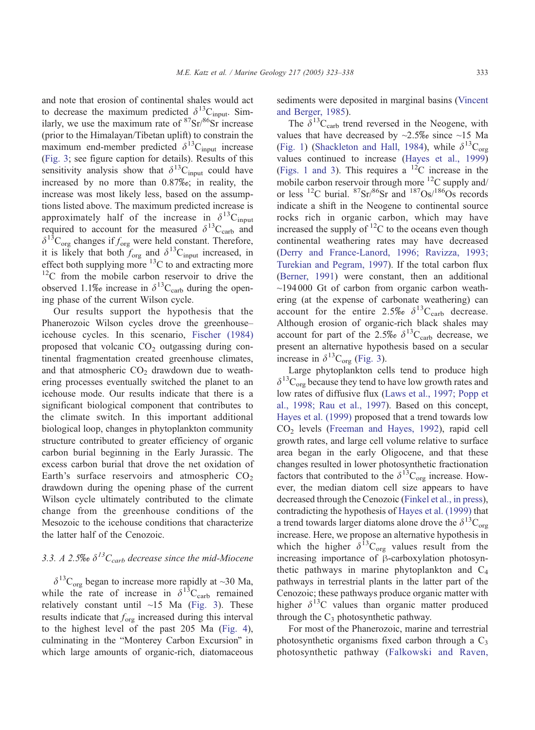and note that erosion of continental shales would act to decrease the maximum predicted  $\delta^{13}C_{input}$ . Similarly, we use the maximum rate of  $87\text{Sr}/86\text{Sr}$  increase (prior to the Himalayan/Tibetan uplift) to constrain the maximum end-member predicted  $\delta^{13}C_{input}$  increase ([Fig. 3;](#page-6-0) see figure caption for details). Results of this sensitivity analysis show that  $\delta^{13}C_{input}$  could have increased by no more than  $0.87\%$ <sub>o</sub>; in reality, the increase was most likely less, based on the assumptions listed above. The maximum predicted increase is approximately half of the increase in  $\delta^{13}C_{input}$ required to account for the measured  $\delta^{13}C_{\rm carb}$  and  $\delta^{13}$ C<sub>org</sub> changes if  $f_{org}$  were held constant. Therefore, it is likely that both  $f_{org}$  and  $\delta^{13}C_{input}$  increased, in effect both supplying more  $^{13}$ C to and extracting more  $^{12}$ C from the mobile carbon reservoir to drive the observed 1.1\% increase in  $\delta^{13}C_{\text{carb}}$  during the opening phase of the current Wilson cycle.

Our results support the hypothesis that the Phanerozoic Wilson cycles drove the greenhouse– icehouse cycles. In this scenario, [Fischer \(1984\)](#page-13-0) proposed that volcanic  $CO<sub>2</sub>$  outgassing during continental fragmentation created greenhouse climates, and that atmospheric  $CO<sub>2</sub>$  drawdown due to weathering processes eventually switched the planet to an icehouse mode. Our results indicate that there is a significant biological component that contributes to the climate switch. In this important additional biological loop, changes in phytoplankton community structure contributed to greater efficiency of organic carbon burial beginning in the Early Jurassic. The excess carbon burial that drove the net oxidation of Earth's surface reservoirs and atmospheric  $CO<sub>2</sub>$ drawdown during the opening phase of the current Wilson cycle ultimately contributed to the climate change from the greenhouse conditions of the Mesozoic to the icehouse conditions that characterize the latter half of the Cenozoic.

# 3.3. A 2.5\%  $\delta^{13}C_{\text{curb}}$  decrease since the mid-Miocene

 $\delta^{13}$ C<sub>org</sub> began to increase more rapidly at ~30 Ma, while the rate of increase in  $\delta^{13}C_{\text{carb}}$  remained relatively constant until  $~15$  Ma ([Fig. 3\)](#page-6-0). These results indicate that  $f_{\text{org}}$  increased during this interval to the highest level of the past 205 Ma ([Fig. 4\)](#page-7-0), culminating in the "Monterey Carbon Excursion" in which large amounts of organic-rich, diatomaceous

sediments were deposited in marginal basins ([Vincent](#page-15-0) and Berger, 1985).

The  $\delta^{13}C_{\rm carb}$  trend reversed in the Neogene, with values that have decreased by  $\sim$ 2.5% since  $\sim$ 15 Ma ([Fig. 1\)](#page-2-0) ([Shackleton and Hall, 1984\)](#page-14-0), while  $\delta^{13}C_{\text{or}}$ values continued to increase ([Hayes et al., 1999\)](#page-13-0) ([Figs. 1 and 3\)](#page-2-0). This requires a  $12^{\circ}$ C increase in the mobile carbon reservoir through more  $^{12}$ C supply and/ or less <sup>12</sup>C burial. <sup>87</sup>Sr<sup>/86</sup>Sr and <sup>187</sup>Os<sup> $/186$ </sup>Os records indicate a shift in the Neogene to continental source rocks rich in organic carbon, which may have increased the supply of  $^{12}C$  to the oceans even though continental weathering rates may have decreased ([Derry and France-Lanord, 1996; Ravizza, 1993;](#page-12-0) Turekian and Pegram, 1997). If the total carbon flux ([Berner, 1991\)](#page-12-0) were constant, then an additional  $\sim$ 194000 Gt of carbon from organic carbon weathering (at the expense of carbonate weathering) can account for the entire 2.5\%  $\delta^{13}$ C<sub>carb</sub> decrease. Although erosion of organic-rich black shales may account for part of the 2.5‰  $\delta^{13}$ C<sub>carb</sub> decrease, we present an alternative hypothesis based on a secular increase in  $\delta^{13}C_{\text{org}}$  ([Fig. 3\)](#page-6-0).

Large phytoplankton cells tend to produce high  $\delta^{13}C_{org}$  because they tend to have low growth rates and low rates of diffusive flux ([Laws et al., 1997; Popp et](#page-13-0) al., 1998; Rau et al., 1997). Based on this concept, [Hayes et al. \(1999\)](#page-13-0) proposed that a trend towards low CO2 levels ([Freeman and Hayes, 1992\)](#page-13-0), rapid cell growth rates, and large cell volume relative to surface area began in the early Oligocene, and that these changes resulted in lower photosynthetic fractionation factors that contributed to the  $\delta^{13}C_{org}$  increase. However, the median diatom cell size appears to have decreased through the Cenozoic ([Finkel et al., in press\)](#page-13-0), contradicting the hypothesis of [Hayes et al. \(1999\)](#page-13-0) that a trend towards larger diatoms alone drove the  $\delta^{13}C_{\text{org}}$ increase. Here, we propose an alternative hypothesis in which the higher  $\delta^{13}C_{\text{org}}$  values result from the increasing importance of  $\beta$ -carboxylation photosynthetic pathways in marine phytoplankton and C4 pathways in terrestrial plants in the latter part of the Cenozoic; these pathways produce organic matter with higher  $\delta^{13}$ C values than organic matter produced through the  $C_3$  photosynthetic pathway.

For most of the Phanerozoic, marine and terrestrial photosynthetic organisms fixed carbon through a  $C_3$ photosynthetic pathway ([Falkowski and Raven,](#page-13-0)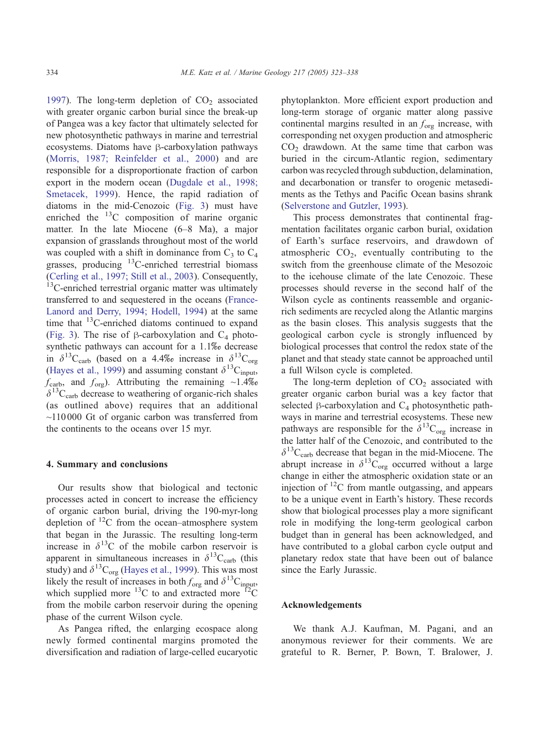1997). The long-term depletion of  $CO<sub>2</sub>$  associated with greater organic carbon burial since the break-up of Pangea was a key factor that ultimately selected for new photosynthetic pathways in marine and terrestrial ecosystems. Diatoms have  $\beta$ -carboxylation pathways ([Morris, 1987; Reinfelder et al., 2000\)](#page-14-0) and are responsible for a disproportionate fraction of carbon export in the modern ocean ([Dugdale et al., 1998;](#page-12-0) Smetacek, 1999). Hence, the rapid radiation of diatoms in the mid-Cenozoic ([Fig. 3\)](#page-6-0) must have enriched the  $^{13}$ C composition of marine organic matter. In the late Miocene (6–8 Ma), a major expansion of grasslands throughout most of the world was coupled with a shift in dominance from  $C_3$  to  $C_4$ grasses, producing 13C-enriched terrestrial biomass ([Cerling et al., 1997; Still et al., 2003\)](#page-12-0). Consequently, <sup>13</sup>C-enriched terrestrial organic matter was ultimately transferred to and sequestered in the oceans ([France-](#page-13-0)Lanord and Derry, 1994; Hodell, 1994) at the same time that  $^{13}$ C-enriched diatoms continued to expand ([Fig. 3\)](#page-6-0). The rise of  $\beta$ -carboxylation and  $C_4$  photosynthetic pathways can account for a  $1.1\%$  decrease in  $\delta^{13}C_{\text{carb}}$  (based on a 4.4\% increase in  $\delta^{13}C_{\text{org}}$ ([Hayes et al., 1999\)](#page-13-0) and assuming constant  $\delta^{13}C_{\text{inout}}$ ,  $f_{\text{carb}}$ , and  $f_{\text{org}}$ ). Attributing the remaining ~1.4\%  $\delta^{13}C_{\rm carb}$  decrease to weathering of organic-rich shales (as outlined above) requires that an additional ~110 000 Gt of organic carbon was transferred from the continents to the oceans over 15 myr.

#### 4. Summary and conclusions

Our results show that biological and tectonic processes acted in concert to increase the efficiency of organic carbon burial, driving the 190-myr-long depletion of  ${}^{12}C$  from the ocean–atmosphere system that began in the Jurassic. The resulting long-term increase in  $\delta^{13}$ C of the mobile carbon reservoir is apparent in simultaneous increases in  $\delta^{13}C_{\text{carb}}$  (this study) and  $\delta^{13}C_{org}$  ([Hayes et al., 1999\)](#page-13-0). This was most likely the result of increases in both  $f_{org}$  and  $\delta^{13}C_{input}$ , which supplied more  $^{13}$ C to and extracted more  $^{13}$ from the mobile carbon reservoir during the opening phase of the current Wilson cycle.

As Pangea rifted, the enlarging ecospace along newly formed continental margins promoted the diversification and radiation of large-celled eucaryotic phytoplankton. More efficient export production and long-term storage of organic matter along passive continental margins resulted in an  $f_{org}$  increase, with corresponding net oxygen production and atmospheric  $CO<sub>2</sub>$  drawdown. At the same time that carbon was buried in the circum-Atlantic region, sedimentary carbon was recycled through subduction, delamination, and decarbonation or transfer to orogenic metasediments as the Tethys and Pacific Ocean basins shrank ([Selverstone and Gutzler, 1993\)](#page-14-0).

This process demonstrates that continental fragmentation facilitates organic carbon burial, oxidation of Earth's surface reservoirs, and drawdown of atmospheric  $CO<sub>2</sub>$ , eventually contributing to the switch from the greenhouse climate of the Mesozoic to the icehouse climate of the late Cenozoic. These processes should reverse in the second half of the Wilson cycle as continents reassemble and organicrich sediments are recycled along the Atlantic margins as the basin closes. This analysis suggests that the geological carbon cycle is strongly influenced by biological processes that control the redox state of the planet and that steady state cannot be approached until a full Wilson cycle is completed.

The long-term depletion of  $CO<sub>2</sub>$  associated with greater organic carbon burial was a key factor that selected  $\beta$ -carboxylation and  $C_4$  photosynthetic pathways in marine and terrestrial ecosystems. These new pathways are responsible for the  $\delta^{13}C_{\text{org}}$  increase in the latter half of the Cenozoic, and contributed to the  $\delta^{13}$ C<sub>carb</sub> decrease that began in the mid-Miocene. The abrupt increase in  $\delta^{13}$ C<sub>org</sub> occurred without a large change in either the atmospheric oxidation state or an injection of  $^{12}$ C from mantle outgassing, and appears to be a unique event in Earth's history. These records show that biological processes play a more significant role in modifying the long-term geological carbon budget than in general has been acknowledged, and have contributed to a global carbon cycle output and planetary redox state that have been out of balance since the Early Jurassic.

### Acknowledgements

We thank A.J. Kaufman, M. Pagani, and an anonymous reviewer for their comments. We are grateful to R. Berner, P. Bown, T. Bralower, J.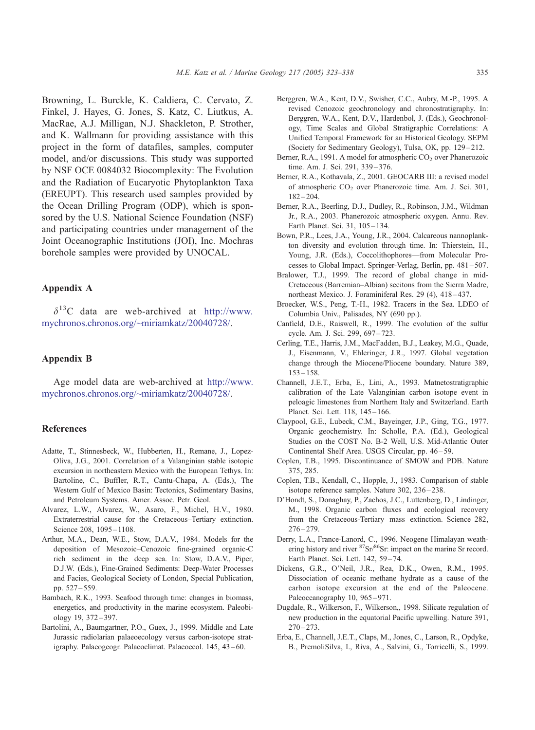<span id="page-12-0"></span>Browning, L. Burckle, K. Caldiera, C. Cervato, Z. Finkel, J. Hayes, G. Jones, S. Katz, C. Liutkus, A. MacRae, A.J. Milligan, N.J. Shackleton, P. Strother, and K. Wallmann for providing assistance with this project in the form of datafiles, samples, computer model, and/or discussions. This study was supported by NSF OCE 0084032 Biocomplexity: The Evolution and the Radiation of Eucaryotic Phytoplankton Taxa (EREUPT). This research used samples provided by the Ocean Drilling Program (ODP), which is sponsored by the U.S. National Science Foundation (NSF) and participating countries under management of the Joint Oceanographic Institutions (JOI), Inc. Mochras borehole samples were provided by UNOCAL.

# Appendix A

 $\delta^{13}$ C data are web-archived at [http://www.](http://www.mychronos.chronos.org/~miriamkatz/20040728/) mychronos.chronos.org/~miriamkatz/20040728/.

# Appendix B

Age model data are web-archived at [http://www.](http://www.mychronos.chronos.org/~miriamkatz/20040728/) mychronos.chronos.org/~miriamkatz/20040728/.

### References

- Adatte, T., Stinnesbeck, W., Hubberten, H., Remane, J., Lopez-Oliva, J.G., 2001. Correlation of a Valanginian stable isotopic excursion in northeastern Mexico with the European Tethys. In: Bartoline, C., Buffler, R.T., Cantu-Chapa, A. (Eds.), The Western Gulf of Mexico Basin: Tectonics, Sedimentary Basins, and Petroleum Systems. Amer. Assoc. Petr. Geol.
- Alvarez, L.W., Alvarez, W., Asaro, F., Michel, H.V., 1980. Extraterrestrial cause for the Cretaceous–Tertiary extinction. Science 208, 1095-1108.
- Arthur, M.A., Dean, W.E., Stow, D.A.V., 1984. Models for the deposition of Mesozoic–Cenozoic fine-grained organic-C rich sediment in the deep sea. In: Stow, D.A.V., Piper, D.J.W. (Eds.), Fine-Grained Sediments: Deep-Water Processes and Facies, Geological Society of London, Special Publication, pp. 527 – 559.
- Bambach, R.K., 1993. Seafood through time: changes in biomass, energetics, and productivity in the marine ecosystem. Paleobiology 19, 372 – 397.
- Bartolini, A., Baumgartner, P.O., Guex, J., 1999. Middle and Late Jurassic radiolarian palaeoecology versus carbon-isotope stratigraphy. Palaeogeogr. Palaeoclimat. Palaeoecol. 145, 43 – 60.
- Berggren, W.A., Kent, D.V., Swisher, C.C., Aubry, M.-P., 1995. A revised Cenozoic geochronology and chronostratigraphy. In: Berggren, W.A., Kent, D.V., Hardenbol, J. (Eds.), Geochronology, Time Scales and Global Stratigraphic Correlations: A Unified Temporal Framework for an Historical Geology. SEPM (Society for Sedimentary Geology), Tulsa, OK, pp. 129 – 212.
- Berner, R.A., 1991. A model for atmospheric  $CO<sub>2</sub>$  over Phanerozoic time. Am. J. Sci. 291, 339-376.
- Berner, R.A., Kothavala, Z., 2001. GEOCARB III: a revised model of atmospheric CO<sub>2</sub> over Phanerozoic time. Am. J. Sci. 301,  $182 - 204.$
- Berner, R.A., Beerling, D.J., Dudley, R., Robinson, J.M., Wildman Jr., R.A., 2003. Phanerozoic atmospheric oxygen. Annu. Rev. Earth Planet. Sci. 31, 105 – 134.
- Bown, P.R., Lees, J.A., Young, J.R., 2004. Calcareous nannoplankton diversity and evolution through time. In: Thierstein, H., Young, J.R. (Eds.), Coccolithophores—from Molecular Processes to Global Impact. Springer-Verlag, Berlin, pp. 481 – 507.
- Bralower, T.J., 1999. The record of global change in mid-Cretaceous (Barremian–Albian) secitons from the Sierra Madre, northeast Mexico. J. Foraminiferal Res. 29 (4), 418 – 437.
- Broecker, W.S., Peng, T.-H., 1982. Tracers in the Sea. LDEO of Columbia Univ., Palisades, NY (690 pp.).
- Canfield, D.E., Raiswell, R., 1999. The evolution of the sulfur cycle. Am. J. Sci. 299, 697 – 723.
- Cerling, T.E., Harris, J.M., MacFadden, B.J., Leakey, M.G., Quade, J., Eisenmann, V., Ehleringer, J.R., 1997. Global vegetation change through the Miocene/Pliocene boundary. Nature 389, 153 – 158.
- Channell, J.E.T., Erba, E., Lini, A., 1993. Matnetostratigraphic calibration of the Late Valanginian carbon isotope event in peloagic limestones from Northern Italy and Switzerland. Earth Planet. Sci. Lett. 118, 145 – 166.
- Claypool, G.E., Lubeck, C.M., Bayeinger, J.P., Ging, T.G., 1977. Organic geochemistry. In: Scholle, P.A. (Ed.), Geological Studies on the COST No. B-2 Well, U.S. Mid-Atlantic Outer Continental Shelf Area. USGS Circular, pp. 46 – 59.
- Coplen, T.B., 1995. Discontinuance of SMOW and PDB. Nature 375, 285.
- Coplen, T.B., Kendall, C., Hopple, J., 1983. Comparison of stable isotope reference samples. Nature 302, 236 – 238.
- D'Hondt, S., Donaghay, P., Zachos, J.C., Luttenberg, D., Lindinger, M., 1998. Organic carbon fluxes and ecological recovery from the Cretaceous-Tertiary mass extinction. Science 282,  $276 - 279$ .
- Derry, L.A., France-Lanord, C., 1996. Neogene Himalayan weathering history and river <sup>87</sup>Sr/<sup>86</sup>Sr: impact on the marine Sr record. Earth Planet. Sci. Lett. 142, 59 – 74.
- Dickens, G.R., O'Neil, J.R., Rea, D.K., Owen, R.M., 1995. Dissociation of oceanic methane hydrate as a cause of the carbon isotope excursion at the end of the Paleocene. Paleoceanography 10, 965-971.
- Dugdale, R., Wilkerson, F., Wilkerson,, 1998. Silicate regulation of new production in the equatorial Pacific upwelling. Nature 391,  $270 - 273$ .
- Erba, E., Channell, J.E.T., Claps, M., Jones, C., Larson, R., Opdyke, B., PremoliSilva, I., Riva, A., Salvini, G., Torricelli, S., 1999.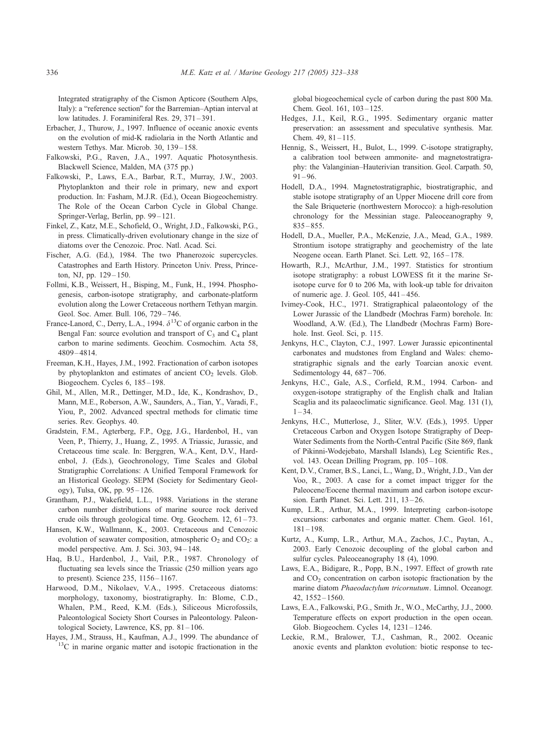<span id="page-13-0"></span>Integrated stratigraphy of the Cismon Apticore (Southern Alps, Italy): a "reference section" for the Barremian–Aptian interval at low latitudes. J. Foraminiferal Res. 29, 371 – 391.

- Erbacher, J., Thurow, J., 1997. Influence of oceanic anoxic events on the evolution of mid-K radiolaria in the North Atlantic and western Tethys. Mar. Microb. 30, 139-158.
- Falkowski, P.G., Raven, J.A., 1997. Aquatic Photosynthesis. Blackwell Science, Malden, MA (375 pp.)
- Falkowski, P., Laws, E.A., Barbar, R.T., Murray, J.W., 2003. Phytoplankton and their role in primary, new and export production. In: Fasham, M.J.R. (Ed.), Ocean Biogeochemistry. The Role of the Ocean Carbon Cycle in Global Change. Springer-Verlag, Berlin, pp. 99–121.
- Finkel, Z., Katz, M.E., Schofield, O., Wright, J.D., Falkowski, P.G., in press. Climatically-driven evolutionary change in the size of diatoms over the Cenozoic. Proc. Natl. Acad. Sci.
- Fischer, A.G. (Ed.), 1984. The two Phanerozoic supercycles. Catastrophes and Earth History. Princeton Univ. Press, Princeton, NJ, pp. 129-150.
- Follmi, K.B., Weissert, H., Bisping, M., Funk, H., 1994. Phosphogenesis, carbon-isotope stratigraphy, and carbonate-platform evolution along the Lower Cretaceous northern Tethyan margin. Geol. Soc. Amer. Bull. 106, 729 – 746.
- France-Lanord, C., Derry, L.A., 1994.  $\delta^{13}$ C of organic carbon in the Bengal Fan: source evolution and transport of  $C_3$  and  $C_4$  plant carbon to marine sediments. Geochim. Cosmochim. Acta 58, 4809 – 4814.
- Freeman, K.H., Hayes, J.M., 1992. Fractionation of carbon isotopes by phytoplankton and estimates of ancient  $CO<sub>2</sub>$  levels. Glob. Biogeochem. Cycles 6, 185-198.
- Ghil, M., Allen, M.R., Dettinger, M.D., Ide, K., Kondrashov, D., Mann, M.E., Roberson, A.W., Saunders, A., Tian, Y., Varadi, F., Yiou, P., 2002. Advanced spectral methods for climatic time series. Rev. Geophys. 40.
- Gradstein, F.M., Agterberg, F.P., Ogg, J.G., Hardenbol, H., van Veen, P., Thierry, J., Huang, Z., 1995. A Triassic, Jurassic, and Cretaceous time scale. In: Berggren, W.A., Kent, D.V., Hardenbol, J. (Eds.), Geochronology, Time Scales and Global Stratigraphic Correlations: A Unified Temporal Framework for an Historical Geology. SEPM (Society for Sedimentary Geology), Tulsa, OK, pp. 95 – 126.
- Grantham, P.J., Wakefield, L.L., 1988. Variations in the sterane carbon number distributions of marine source rock derived crude oils through geological time. Org. Geochem. 12, 61-73.
- Hansen, K.W., Wallmann, K., 2003. Cretaceous and Cenozoic evolution of seawater composition, atmospheric  $O_2$  and  $CO_2$ : a model perspective. Am. J. Sci. 303, 94 – 148.
- Haq, B.U., Hardenbol, J., Vail, P.R., 1987. Chronology of fluctuating sea levels since the Triassic (250 million years ago to present). Science 235, 1156 – 1167.
- Harwood, D.M., Nikolaev, V.A., 1995. Cretaceous diatoms: morphology, taxonomy, biostratigraphy. In: Blome, C.D., Whalen, P.M., Reed, K.M. (Eds.), Siliceous Microfossils, Paleontological Society Short Courses in Paleontology. Paleontological Society, Lawrence, KS, pp. 81-106.
- Hayes, J.M., Strauss, H., Kaufman, A.J., 1999. The abundance of <sup>13</sup>C in marine organic matter and isotopic fractionation in the

global biogeochemical cycle of carbon during the past 800 Ma. Chem. Geol. 161, 103 – 125.

- Hedges, J.I., Keil, R.G., 1995. Sedimentary organic matter preservation: an assessment and speculative synthesis. Mar. Chem. 49, 81-115.
- Hennig, S., Weissert, H., Bulot, L., 1999. C-isotope stratigraphy, a calibration tool between ammonite- and magnetostratigraphy: the Valanginian–Hauterivian transition. Geol. Carpath. 50,  $91 - 96.$
- Hodell, D.A., 1994. Magnetostratigraphic, biostratigraphic, and stable isotope stratigraphy of an Upper Miocene drill core from the Sale Briqueterie (northwestern Morocco): a high-resolution chronology for the Messinian stage. Paleoceanography 9,  $835 - 855$ .
- Hodell, D.A., Mueller, P.A., McKenzie, J.A., Mead, G.A., 1989. Strontium isotope stratigraphy and geochemistry of the late Neogene ocean. Earth Planet. Sci. Lett. 92, 165-178.
- Howarth, R.J., McArthur, J.M., 1997. Statistics for strontium isotope stratigraphy: a robust LOWESS fit it the marine Srisotope curve for 0 to 206 Ma, with look-up table for drivaiton of numeric age. J. Geol. 105, 441 – 456.
- Ivimey-Cook, H.C., 1971. Stratigraphical palaeontology of the Lower Jurassic of the Llandbedr (Mochras Farm) borehole. In: Woodland, A.W. (Ed.), The Llandbedr (Mochras Farm) Borehole. Inst. Geol. Sci, p. 115.
- Jenkyns, H.C., Clayton, C.J., 1997. Lower Jurassic epicontinental carbonates and mudstones from England and Wales: chemostratigraphic signals and the early Toarcian anoxic event. Sedimentology 44, 687-706.
- Jenkyns, H.C., Gale, A.S., Corfield, R.M., 1994. Carbon- and oxygen-isotope stratigraphy of the English chalk and Italian Scaglia and its palaeoclimatic significance. Geol. Mag. 131 (1),  $1 - 34.$
- Jenkyns, H.C., Mutterlose, J., Sliter, W.V. (Eds.), 1995. Upper Cretaceous Carbon and Oxygen Isotope Stratigraphy of Deep-Water Sediments from the North-Central Pacific (Site 869, flank of Pikinni-Wodejebato, Marshall Islands), Leg Scientific Res., vol. 143. Ocean Drilling Program, pp. 105-108.
- Kent, D.V., Cramer, B.S., Lanci, L., Wang, D., Wright, J.D., Van der Voo, R., 2003. A case for a comet impact trigger for the Paleocene/Eocene thermal maximum and carbon isotope excursion. Earth Planet. Sci. Lett. 211, 13-26.
- Kump, L.R., Arthur, M.A., 1999. Interpreting carbon-isotope excursions: carbonates and organic matter. Chem. Geol. 161,  $181 - 198.$
- Kurtz, A., Kump, L.R., Arthur, M.A., Zachos, J.C., Paytan, A., 2003. Early Cenozoic decoupling of the global carbon and sulfur cycles. Paleoceanography 18 (4), 1090.
- Laws, E.A., Bidigare, R., Popp, B.N., 1997. Effect of growth rate and CO<sub>2</sub> concentration on carbon isotopic fractionation by the marine diatom Phaeodactylum tricornutum. Limnol. Oceanogr. 42, 1552 – 1560.
- Laws, E.A., Falkowski, P.G., Smith Jr., W.O., McCarthy, J.J., 2000. Temperature effects on export production in the open ocean. Glob. Biogeochem. Cycles 14, 1231 – 1246.
- Leckie, R.M., Bralower, T.J., Cashman, R., 2002. Oceanic anoxic events and plankton evolution: biotic response to tec-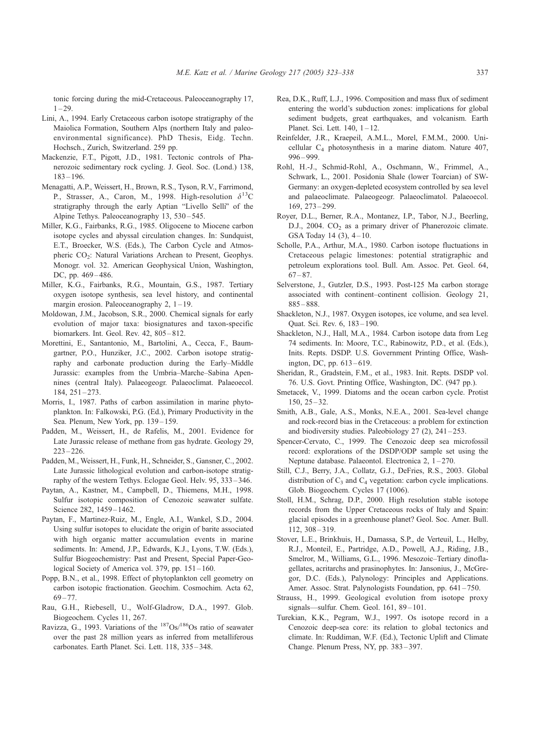<span id="page-14-0"></span>tonic forcing during the mid-Cretaceous. Paleoceanography 17,  $1 - 29$ .

- Lini, A., 1994. Early Cretaceous carbon isotope stratigraphy of the Maiolica Formation, Southern Alps (northern Italy and paleoenvironmental significance). PhD Thesis, Eidg. Techn. Hochsch., Zurich, Switzerland. 259 pp.
- Mackenzie, F.T., Pigott, J.D., 1981. Tectonic controls of Phanerozoic sedimentary rock cycling. J. Geol. Soc. (Lond.) 138, 183 – 196.
- Menagatti, A.P., Weissert, H., Brown, R.S., Tyson, R.V., Farrimond, P., Strasser, A., Caron, M., 1998. High-resolution  $\delta^{13}C$ stratigraphy through the early Aptian "Livello Selli" of the Alpine Tethys. Paleoceanography 13, 530 – 545.
- Miller, K.G., Fairbanks, R.G., 1985. Oligocene to Miocene carbon isotope cycles and abyssal circulation changes. In: Sundquist, E.T., Broecker, W.S. (Eds.), The Carbon Cycle and Atmospheric CO<sub>2</sub>: Natural Variations Archean to Present, Geophys. Monogr. vol. 32. American Geophysical Union, Washington, DC, pp. 469-486.
- Miller, K.G., Fairbanks, R.G., Mountain, G.S., 1987. Tertiary oxygen isotope synthesis, sea level history, and continental margin erosion. Paleoceanography 2,  $1 - 19$ .
- Moldowan, J.M., Jacobson, S.R., 2000. Chemical signals for early evolution of major taxa: biosignatures and taxon-specific biomarkers. Int. Geol. Rev. 42, 805 – 812.
- Morettini, E., Santantonio, M., Bartolini, A., Cecca, F., Baumgartner, P.O., Hunziker, J.C., 2002. Carbon isotope stratigraphy and carbonate production during the Early–Middle Jurassic: examples from the Umbria–Marche–Sabina Apennines (central Italy). Palaeogeogr. Palaeoclimat. Palaeoecol. 184, 251 – 273.
- Morris, I., 1987. Paths of carbon assimilation in marine phytoplankton. In: Falkowski, P.G. (Ed.), Primary Productivity in the Sea. Plenum, New York, pp. 139-159.
- Padden, M., Weissert, H., de Rafelis, M., 2001. Evidence for Late Jurassic release of methane from gas hydrate. Geology 29,  $223 - 226$ .
- Padden, M., Weissert, H., Funk, H., Schneider, S., Gansner, C., 2002. Late Jurassic lithological evolution and carbon-isotope stratigraphy of the western Tethys. Eclogae Geol. Helv. 95, 333 – 346.
- Paytan, A., Kastner, M., Campbell, D., Thiemens, M.H., 1998. Sulfur isotopic composition of Cenozoic seawater sulfate. Science 282, 1459-1462.
- Paytan, F., Martinez-Ruiz, M., Engle, A.I., Wankel, S.D., 2004. Using sulfur isotopes to elucidate the origin of barite associated with high organic matter accumulation events in marine sediments. In: Amend, J.P., Edwards, K.J., Lyons, T.W. (Eds.), Sulfur Biogeochemistry: Past and Present, Special Paper-Geological Society of America vol. 379, pp. 151-160.
- Popp, B.N., et al., 1998. Effect of phytoplankton cell geometry on carbon isotopic fractionation. Geochim. Cosmochim. Acta 62,  $69 - 77.$
- Rau, G.H., Riebesell, U., Wolf-Gladrow, D.A., 1997. Glob. Biogeochem. Cycles 11, 267.
- Ravizza, G., 1993. Variations of the 187Os/186Os ratio of seawater over the past 28 million years as inferred from metalliferous carbonates. Earth Planet. Sci. Lett. 118, 335 – 348.
- Rea, D.K., Ruff, L.J., 1996. Composition and mass flux of sediment entering the world's subduction zones: implications for global sediment budgets, great earthquakes, and volcanism. Earth Planet. Sci. Lett. 140, 1-12.
- Reinfelder, J.R., Kraepeil, A.M.L., Morel, F.M.M., 2000. Unicellular C4 photosynthesis in a marine diatom. Nature 407, 996 – 999.
- Rohl, H.-J., Schmid-Rohl, A., Oschmann, W., Frimmel, A., Schwark, L., 2001. Posidonia Shale (lower Toarcian) of SW-Germany: an oxygen-depleted ecosystem controlled by sea level and palaeoclimate. Palaeogeogr. Palaeoclimatol. Palaeoecol. 169, 273 – 299.
- Royer, D.L., Berner, R.A., Montanez, I.P., Tabor, N.J., Beerling, D.J., 2004.  $CO<sub>2</sub>$  as a primary driver of Phanerozoic climate. GSA Today  $14$  (3),  $4 - 10$ .
- Scholle, P.A., Arthur, M.A., 1980. Carbon isotope fluctuations in Cretaceous pelagic limestones: potential stratigraphic and petroleum explorations tool. Bull. Am. Assoc. Pet. Geol. 64,  $67 - 87.$
- Selverstone, J., Gutzler, D.S., 1993. Post-125 Ma carbon storage associated with continent–continent collision. Geology 21, 885 – 888.
- Shackleton, N.J., 1987. Oxygen isotopes, ice volume, and sea level. Quat. Sci. Rev. 6, 183 – 190.
- Shackleton, N.J., Hall, M.A., 1984. Carbon isotope data from Leg 74 sediments. In: Moore, T.C., Rabinowitz, P.D., et al. (Eds.), Inits. Repts. DSDP. U.S. Government Printing Office, Washington, DC, pp. 613 – 619.
- Sheridan, R., Gradstein, F.M., et al., 1983. Init. Repts. DSDP vol. 76. U.S. Govt. Printing Office, Washington, DC. (947 pp.).
- Smetacek, V., 1999. Diatoms and the ocean carbon cycle. Protist 150, 25 – 32.
- Smith, A.B., Gale, A.S., Monks, N.E.A., 2001. Sea-level change and rock-record bias in the Cretaceous: a problem for extinction and biodiversity studies. Paleobiology  $27$  (2),  $241 - 253$ .
- Spencer-Cervato, C., 1999. The Cenozoic deep sea microfossil record: explorations of the DSDP/ODP sample set using the Neptune database. Palaeontol. Electronica 2, 1 – 270.
- Still, C.J., Berry, J.A., Collatz, G.J., DeFries, R.S., 2003. Global distribution of  $C_3$  and  $C_4$  vegetation: carbon cycle implications. Glob. Biogeochem. Cycles 17 (1006).
- Stoll, H.M., Schrag, D.P., 2000. High resolution stable isotope records from the Upper Cretaceous rocks of Italy and Spain: glacial episodes in a greenhouse planet? Geol. Soc. Amer. Bull. 112, 308 – 319.
- Stover, L.E., Brinkhuis, H., Damassa, S.P., de Verteuil, L., Helby, R.J., Monteil, E., Partridge, A.D., Powell, A.J., Riding, J.B., Smelror, M., Williams, G.L., 1996. Mesozoic–Tertiary dinoflagellates, acritarchs and prasinophytes. In: Jansonius, J., McGregor, D.C. (Eds.), Palynology: Principles and Applications. Amer. Assoc. Strat. Palynologists Foundation, pp. 641-750.
- Strauss, H., 1999. Geological evolution from isotope proxy signals—sulfur. Chem. Geol. 161, 89-101.
- Turekian, K.K., Pegram, W.J., 1997. Os isotope record in a Cenozoic deep-sea core: its relation to global tectonics and climate. In: Ruddiman, W.F. (Ed.), Tectonic Uplift and Climate Change. Plenum Press, NY, pp. 383 – 397.